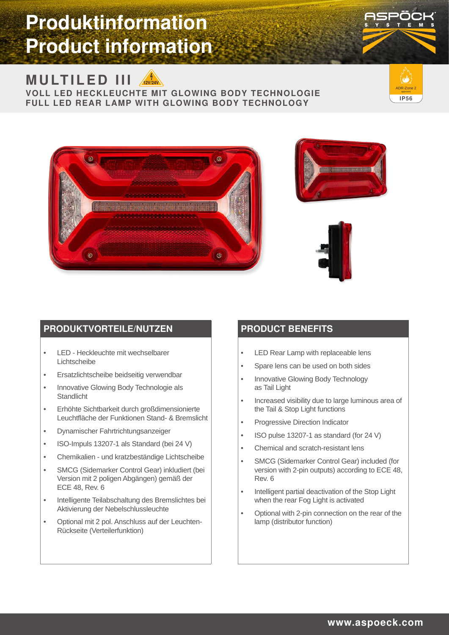# **Produktinformation Product information**

# **MULTILED III** A2V24V

**VOLL LED HECKLEUCHTE MIT GLOWING BODY TECHNOLOGIE FULL LED REAR LAMP WITH GLOWING BODY TECHNOLOGY**









#### **PRODUKTVORTEILE/NUTZEN**

- LED Heckleuchte mit wechselbarer Lichtscheibe
- Ersatzlichtscheibe beidseitig verwendbar
- Innovative Glowing Body Technologie als **Standlicht**
- Erhöhte Sichtbarkeit durch großdimensionierte Leuchtfläche der Funktionen Stand- & Bremslicht
- Dynamischer Fahrtrichtungsanzeiger
- ISO-Impuls 13207-1 als Standard (bei 24 V)
- Chemikalien und kratzbeständige Lichtscheibe
- SMCG (Sidemarker Control Gear) inkludiert (bei Version mit 2 poligen Abgängen) gemäß der ECE 48, Rev. 6
- Intelligente Teilabschaltung des Bremslichtes bei Aktivierung der Nebelschlussleuchte
- Optional mit 2 pol. Anschluss auf der Leuchten-Rückseite (Verteilerfunktion)

#### **PRODUCT BENEFITS**

- LED Rear Lamp with replaceable lens
- Spare lens can be used on both sides
- Innovative Glowing Body Technology as Tail Light
- Increased visibility due to large luminous area of the Tail & Stop Light functions
- Progressive Direction Indicator
- ISO pulse 13207-1 as standard (for 24 V)
- Chemical and scratch-resistant lens
- SMCG (Sidemarker Control Gear) included (for version with 2-pin outputs) according to ECE 48, Rev. 6
- Intelligent partial deactivation of the Stop Light when the rear Fog Light is activated
- Optional with 2-pin connection on the rear of the lamp (distributor function)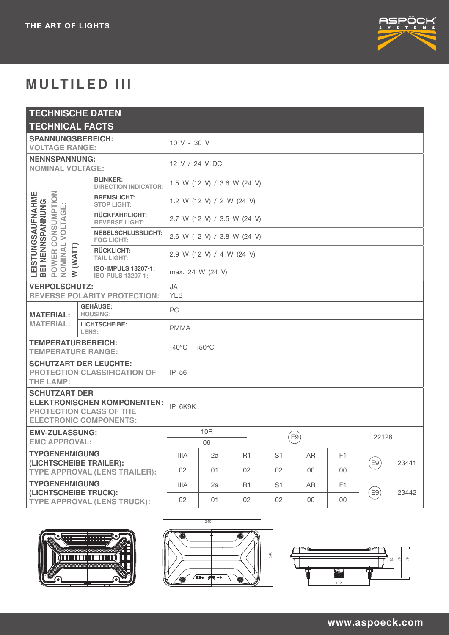

# **MULTILED III**

| <b>TECHNISCHE DATEN</b>                                                                                                       |  |                                                        |                             |                |                |        |                |       |                 |       |
|-------------------------------------------------------------------------------------------------------------------------------|--|--------------------------------------------------------|-----------------------------|----------------|----------------|--------|----------------|-------|-----------------|-------|
| <b>TECHNICAL FACTS</b>                                                                                                        |  |                                                        |                             |                |                |        |                |       |                 |       |
| <b>SPANNUNGSBEREICH:</b><br><b>VOLTAGE RANGE:</b>                                                                             |  |                                                        | 10 V - 30 V                 |                |                |        |                |       |                 |       |
| <b>NENNSPANNUNG:</b><br><b>NOMINAL VOLTAGE:</b>                                                                               |  |                                                        | 12 V / 24 V DC              |                |                |        |                |       |                 |       |
| CONSUMPTION<br>LEISTUNGSAUFNAHME<br>BEI NENNSPANNUNG<br>ш<br>VOLTAGI<br>NOMINAL<br>(WATT)<br>POWER<br>$\geq$                  |  | <b>BLINKER:</b><br><b>DIRECTION INDICATOR:</b>         | 1.5 W (12 V) / 3.6 W (24 V) |                |                |        |                |       |                 |       |
|                                                                                                                               |  | <b>BREMSLICHT:</b><br><b>STOP LIGHT:</b>               | 1.2 W (12 V) / 2 W (24 V)   |                |                |        |                |       |                 |       |
|                                                                                                                               |  | <b>RÜCKFAHRLICHT:</b><br><b>REVERSE LIGHT:</b>         | 2.7 W (12 V) / 3.5 W (24 V) |                |                |        |                |       |                 |       |
|                                                                                                                               |  | <b>NEBELSCHLUSSLICHT:</b><br><b>FOG LIGHT:</b>         | 2.6 W (12 V) / 3.8 W (24 V) |                |                |        |                |       |                 |       |
|                                                                                                                               |  | <b>RÜCKLICHT:</b><br><b>TAIL LIGHT:</b>                | 2.9 W (12 V) / 4 W (24 V)   |                |                |        |                |       |                 |       |
|                                                                                                                               |  | <b>ISO-IMPULS 13207-1:</b><br><b>ISO-PULS 13207-1:</b> | max. 24 W (24 V)            |                |                |        |                |       |                 |       |
| <b>VERPOLSCHUTZ:</b><br><b>REVERSE POLARITY PROTECTION:</b>                                                                   |  | <b>JA</b><br><b>YES</b>                                |                             |                |                |        |                |       |                 |       |
| <b>MATERIAL:</b>                                                                                                              |  | <b>GEHÄUSE:</b><br><b>HOUSING:</b>                     | PC                          |                |                |        |                |       |                 |       |
| <b>MATERIAL:</b>                                                                                                              |  | <b>LICHTSCHEIBE:</b><br>LENS:                          | <b>PMMA</b>                 |                |                |        |                |       |                 |       |
| <b>TEMPERATURBEREICH:</b><br><b>TEMPERATURE RANGE:</b>                                                                        |  | $-40^{\circ}$ C $\sim +50^{\circ}$ C                   |                             |                |                |        |                |       |                 |       |
| <b>SCHUTZART DER LEUCHTE:</b><br><b>PROTECTION CLASSIFICATION OF</b><br><b>THE LAMP:</b>                                      |  | IP 56                                                  |                             |                |                |        |                |       |                 |       |
| <b>SCHUTZART DER</b><br><b>ELEKTRONISCHEN KOMPONENTEN:</b><br><b>PROTECTION CLASS OF THE</b><br><b>ELECTRONIC COMPONENTS:</b> |  | IP 6K9K                                                |                             |                |                |        |                |       |                 |       |
| <b>EMV-ZULASSUNG:</b><br><b>EMC APPROVAL:</b>                                                                                 |  | 10 <sub>R</sub><br>06                                  |                             |                | E9)            |        |                | 22128 |                 |       |
| <b>TYPGENEHMIGUNG</b><br>(LICHTSCHEIBE TRAILER):<br><b>TYPE APPROVAL (LENS TRAILER):</b>                                      |  | IIIA                                                   | 2a                          | R <sub>1</sub> | S <sub>1</sub> | AR     | F <sub>1</sub> |       |                 |       |
|                                                                                                                               |  | 02                                                     | 01                          | 02             | 02             | $00\,$ | $00\,$         |       | $(\mathsf{E9})$ | 23441 |
| <b>TYPGENEHMIGUNG</b><br>(LICHTSCHEIBE TRUCK):<br><b>TYPE APPROVAL (LENS TRUCK):</b>                                          |  | IIIA                                                   | 2a                          | R <sub>1</sub> | S <sub>1</sub> | AR     | F <sub>1</sub> |       |                 |       |
|                                                                                                                               |  | 02                                                     | 01                          | 02             | 02             | $00\,$ | $00\,$         |       | (E9)            | 23442 |





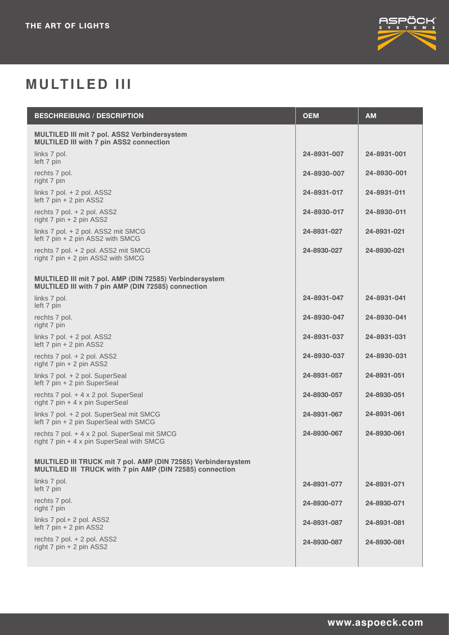

# **MULTILED III**

| <b>BESCHREIBUNG / DESCRIPTION</b>                                                                                         | <b>OEM</b>  | <b>AM</b>   |
|---------------------------------------------------------------------------------------------------------------------------|-------------|-------------|
| <b>MULTILED III mit 7 pol. ASS2 Verbindersystem</b><br><b>MULTILED III with 7 pin ASS2 connection</b>                     |             |             |
| links 7 pol.<br>left 7 pin                                                                                                | 24-8931-007 | 24-8931-001 |
| rechts 7 pol.<br>right 7 pin                                                                                              | 24-8930-007 | 24-8930-001 |
| links $7$ pol. $+ 2$ pol. ASS2<br>left 7 pin + 2 pin ASS2                                                                 | 24-8931-017 | 24-8931-011 |
| rechts 7 pol. + 2 pol. ASS2<br>right $7 \text{ pin} + 2 \text{ pin }$ ASS2                                                | 24-8930-017 | 24-8930-011 |
| links 7 pol. + 2 pol. ASS2 mit SMCG<br>left 7 pin + 2 pin ASS2 with SMCG                                                  | 24-8931-027 | 24-8931-021 |
| rechts 7 pol. + 2 pol. ASS2 mit SMCG<br>right $7 \text{ pin} + 2 \text{ pin ASS2 with SMCG}$                              | 24-8930-027 | 24-8930-021 |
| MULTILED III mit 7 pol. AMP (DIN 72585) Verbindersystem<br>MULTILED III with 7 pin AMP (DIN 72585) connection             |             |             |
| links 7 pol.<br>left 7 pin                                                                                                | 24-8931-047 | 24-8931-041 |
| rechts 7 pol.<br>right 7 pin                                                                                              | 24-8930-047 | 24-8930-041 |
| links $7$ pol. $+ 2$ pol. ASS2<br>left $7 \text{ pin} + 2 \text{ pin }$ ASS2                                              | 24-8931-037 | 24-8931-031 |
| rechts 7 pol. + 2 pol. ASS2<br>right $7 \text{ pin} + 2 \text{ pin }$ ASS2                                                | 24-8930-037 | 24-8930-031 |
| links 7 pol. + 2 pol. SuperSeal<br>left 7 pin + 2 pin SuperSeal                                                           | 24-8931-057 | 24-8931-051 |
| rechts 7 pol. + 4 x 2 pol. SuperSeal<br>right 7 pin + 4 x pin SuperSeal                                                   | 24-8930-057 | 24-8930-051 |
| links 7 pol. + 2 pol. SuperSeal mit SMCG<br>left 7 pin + 2 pin SuperSeal with SMCG                                        | 24-8931-067 | 24-8931-061 |
| rechts 7 pol. + 4 x 2 pol. SuperSeal mit SMCG<br>right 7 pin + 4 x pin SuperSeal with SMCG                                | 24-8930-067 | 24-8930-061 |
| MULTILED III TRUCK mit 7 pol. AMP (DIN 72585) Verbindersystem<br>MULTILED III TRUCK with 7 pin AMP (DIN 72585) connection |             |             |
| links 7 pol.<br>left 7 pin                                                                                                | 24-8931-077 | 24-8931-071 |
| rechts 7 pol.<br>right 7 pin                                                                                              | 24-8930-077 | 24-8930-071 |
| links 7 pol.+ 2 pol. ASS2<br>left 7 pin + 2 pin ASS2                                                                      | 24-8931-087 | 24-8931-081 |
| rechts 7 pol. + 2 pol. ASS2<br>right 7 pin + 2 pin ASS2                                                                   | 24-8930-087 | 24-8930-081 |